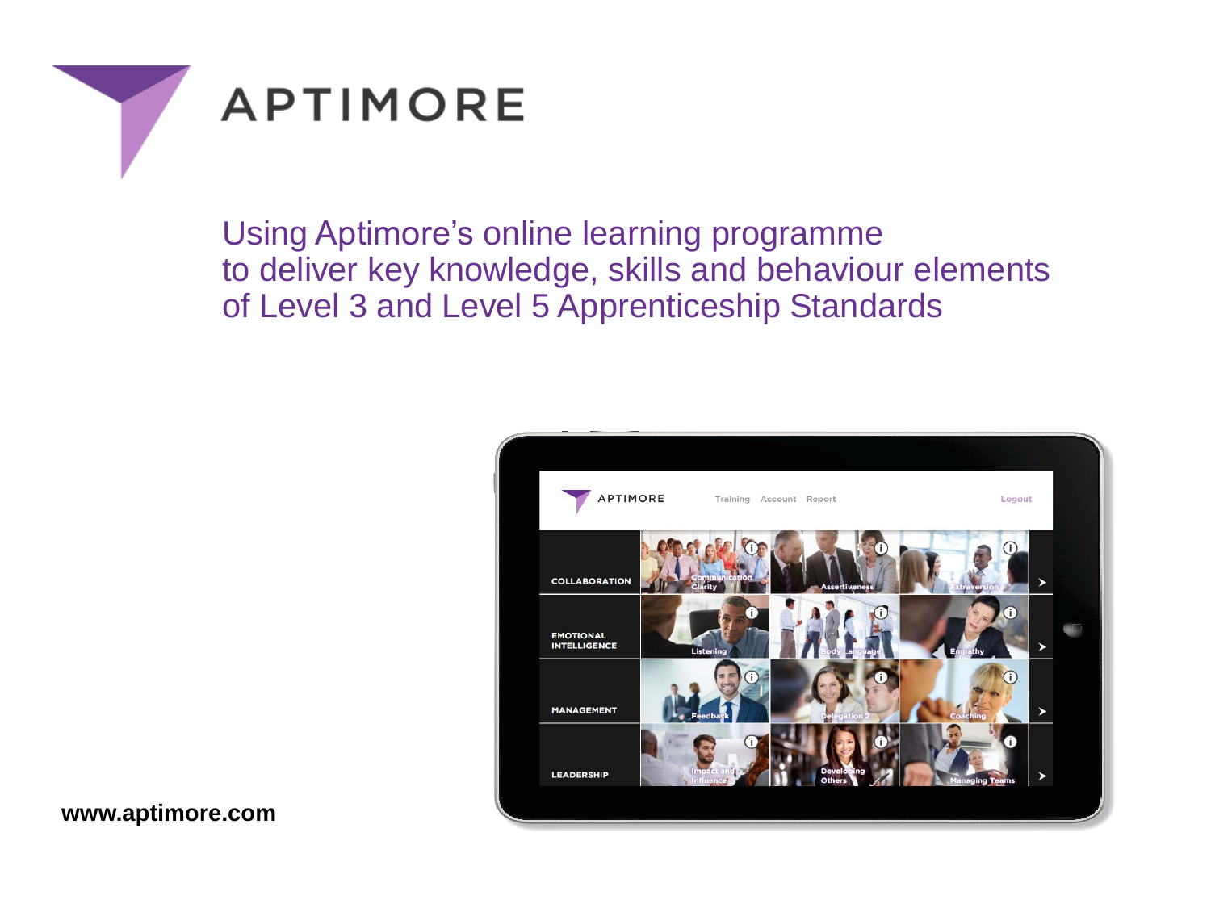



Using Aptimore's online learning programme to deliver key knowledge, skills and behaviour elements of Level 3 and Level 5 Apprenticeship Standards



**www.aptimore.com**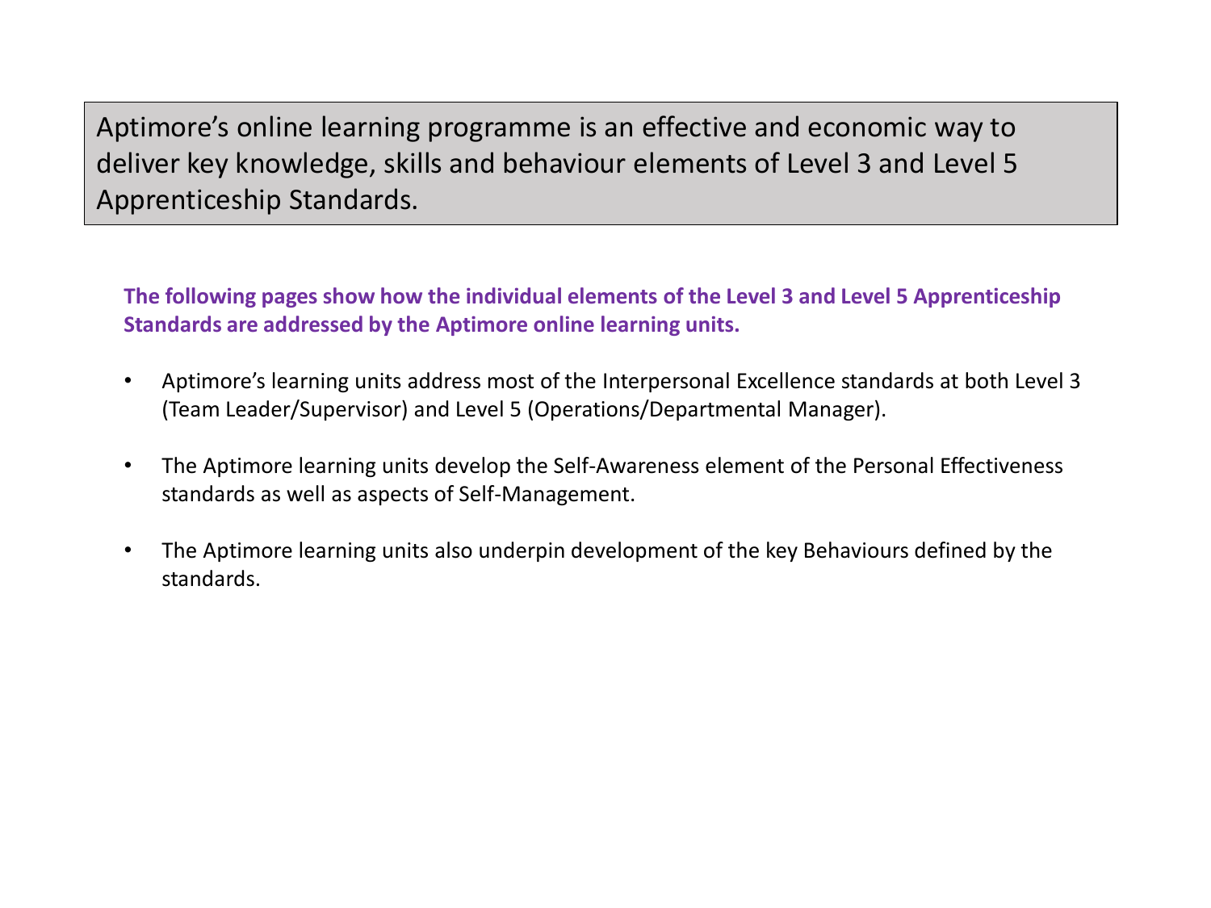Aptimore's online learning programme is an effective and economic way to deliver key knowledge, skills and behaviour elements of Level 3 and Level 5 Apprenticeship Standards.

**The following pages show how the individual elements of the Level 3 and Level 5 Apprenticeship Standards are addressed by the Aptimore online learning units.**

- Aptimore's learning units address most of the Interpersonal Excellence standards at both Level 3 (Team Leader/Supervisor) and Level 5 (Operations/Departmental Manager).
- The Aptimore learning units develop the Self-Awareness element of the Personal Effectiveness standards as well as aspects of Self-Management.
- The Aptimore learning units also underpin development of the key Behaviours defined by the standards.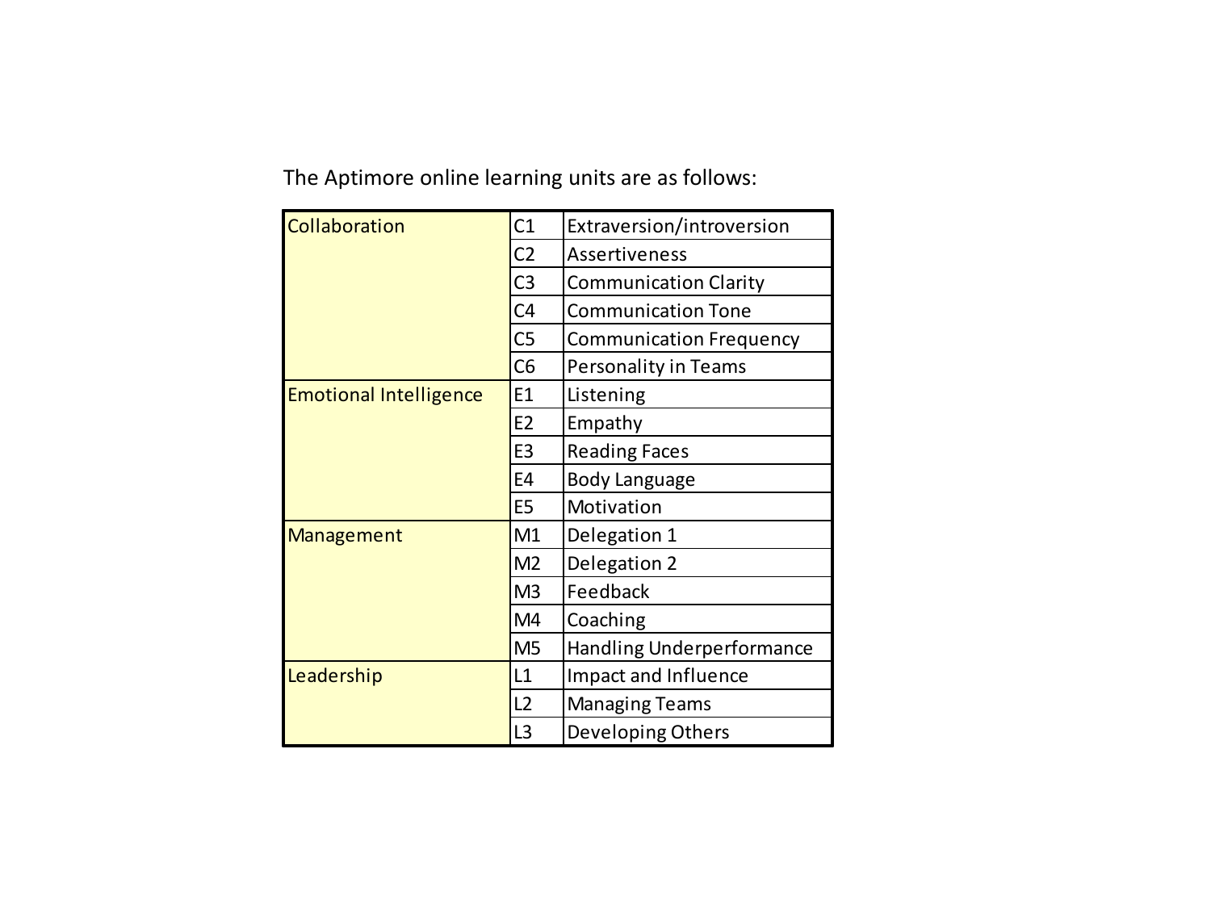The Aptimore online learning units are as follows:

| Collaboration                 | C1             | Extraversion/introversion        |
|-------------------------------|----------------|----------------------------------|
|                               | C <sub>2</sub> | <b>Assertiveness</b>             |
|                               | C <sub>3</sub> | <b>Communication Clarity</b>     |
|                               | C <sub>4</sub> | <b>Communication Tone</b>        |
|                               | C <sub>5</sub> | <b>Communication Frequency</b>   |
|                               | C <sub>6</sub> | Personality in Teams             |
| <b>Emotional Intelligence</b> | E1             | Listening                        |
|                               | E <sub>2</sub> | Empathy                          |
|                               | E <sub>3</sub> | <b>Reading Faces</b>             |
|                               | E4             | <b>Body Language</b>             |
|                               | E <sub>5</sub> | Motivation                       |
| Management                    | M1             | Delegation 1                     |
|                               | M <sub>2</sub> | Delegation 2                     |
|                               | M <sub>3</sub> | Feedback                         |
|                               | M4             | Coaching                         |
|                               | M <sub>5</sub> | <b>Handling Underperformance</b> |
| Leadership                    | L1             | Impact and Influence             |
|                               | L2             | <b>Managing Teams</b>            |
|                               | L <sub>3</sub> | Developing Others                |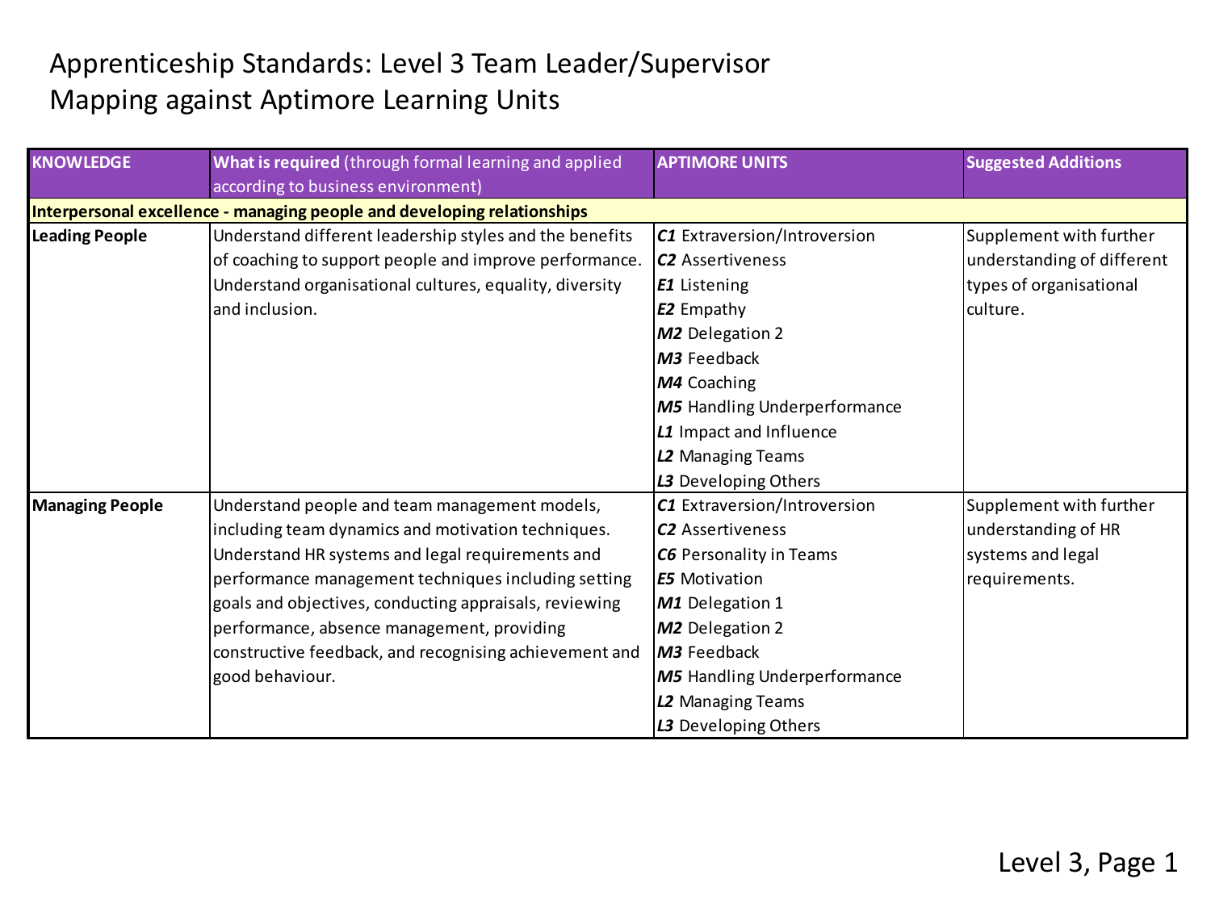## Apprenticeship Standards: Level 3 Team Leader/Supervisor Mapping against Aptimore Learning Units

| <b>KNOWLEDGE</b>       | What is required (through formal learning and applied                   | <b>APTIMORE UNITS</b>               | <b>Suggested Additions</b> |
|------------------------|-------------------------------------------------------------------------|-------------------------------------|----------------------------|
|                        | according to business environment)                                      |                                     |                            |
|                        | Interpersonal excellence - managing people and developing relationships |                                     |                            |
| <b>Leading People</b>  | Understand different leadership styles and the benefits                 | C1 Extraversion/Introversion        | Supplement with further    |
|                        | of coaching to support people and improve performance.                  | <b>C2</b> Assertiveness             | understanding of different |
|                        | Understand organisational cultures, equality, diversity                 | <b>E1</b> Listening                 | types of organisational    |
|                        | and inclusion.                                                          | <b>E2</b> Empathy                   | culture.                   |
|                        |                                                                         | <b>M2</b> Delegation 2              |                            |
|                        |                                                                         | M3 Feedback                         |                            |
|                        |                                                                         | M4 Coaching                         |                            |
|                        |                                                                         | <b>M5</b> Handling Underperformance |                            |
|                        |                                                                         | L1 Impact and Influence             |                            |
|                        |                                                                         | L2 Managing Teams                   |                            |
|                        |                                                                         | L3 Developing Others                |                            |
| <b>Managing People</b> | Understand people and team management models,                           | C1 Extraversion/Introversion        | Supplement with further    |
|                        | including team dynamics and motivation techniques.                      | <b>C2</b> Assertiveness             | understanding of HR        |
|                        | Understand HR systems and legal requirements and                        | <b>C6</b> Personality in Teams      | systems and legal          |
|                        | performance management techniques including setting                     | <b>E5</b> Motivation                | requirements.              |
|                        | goals and objectives, conducting appraisals, reviewing                  | M1 Delegation 1                     |                            |
|                        | performance, absence management, providing                              | M2 Delegation 2                     |                            |
|                        | constructive feedback, and recognising achievement and                  | M3 Feedback                         |                            |
|                        | good behaviour.                                                         | <b>M5</b> Handling Underperformance |                            |
|                        |                                                                         | L2 Managing Teams                   |                            |
|                        |                                                                         | L3 Developing Others                |                            |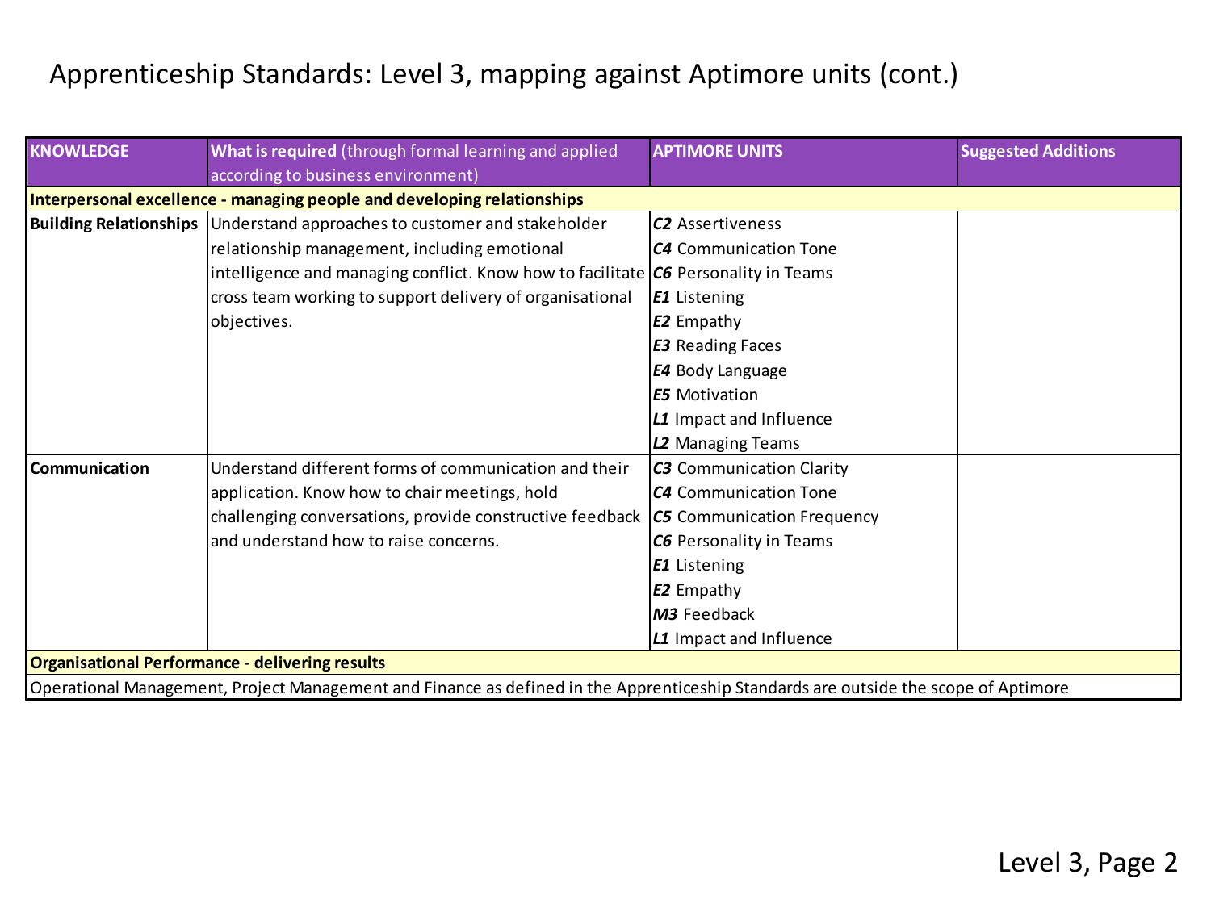| <b>KNOWLEDGE</b> | What is required (through formal learning and applied                                                                               | <b>APTIMORE UNITS</b>           | <b>Suggested Additions</b> |
|------------------|-------------------------------------------------------------------------------------------------------------------------------------|---------------------------------|----------------------------|
|                  | according to business environment)                                                                                                  |                                 |                            |
|                  | Interpersonal excellence - managing people and developing relationships                                                             |                                 |                            |
|                  | Building Relationships Understand approaches to customer and stakeholder                                                            | <b>C2</b> Assertiveness         |                            |
|                  | relationship management, including emotional                                                                                        | <b>C4</b> Communication Tone    |                            |
|                  | intelligence and managing conflict. Know how to facilitate $ C6 $ Personality in Teams                                              |                                 |                            |
|                  | cross team working to support delivery of organisational                                                                            | <b>E1</b> Listening             |                            |
|                  | objectives.                                                                                                                         | E2 Empathy                      |                            |
|                  |                                                                                                                                     | <b>E3</b> Reading Faces         |                            |
|                  |                                                                                                                                     | E4 Body Language                |                            |
|                  |                                                                                                                                     | <b>E5</b> Motivation            |                            |
|                  |                                                                                                                                     | L1 Impact and Influence         |                            |
|                  |                                                                                                                                     | L2 Managing Teams               |                            |
| Communication    | Understand different forms of communication and their                                                                               | <b>C3</b> Communication Clarity |                            |
|                  | application. Know how to chair meetings, hold                                                                                       | <b>C4</b> Communication Tone    |                            |
|                  | challenging conversations, provide constructive feedback                                                                            | C5 Communication Frequency      |                            |
|                  | land understand how to raise concerns.                                                                                              | <b>C6</b> Personality in Teams  |                            |
|                  |                                                                                                                                     | <b>E1</b> Listening             |                            |
|                  |                                                                                                                                     | <b>E2</b> Empathy               |                            |
|                  |                                                                                                                                     | M3 Feedback                     |                            |
|                  |                                                                                                                                     | L1 Impact and Influence         |                            |
|                  | <b>Organisational Performance - delivering results</b>                                                                              |                                 |                            |
|                  | Operational Management, Project Management and Finance as defined in the Apprenticeship Standards are outside the scope of Aptimore |                                 |                            |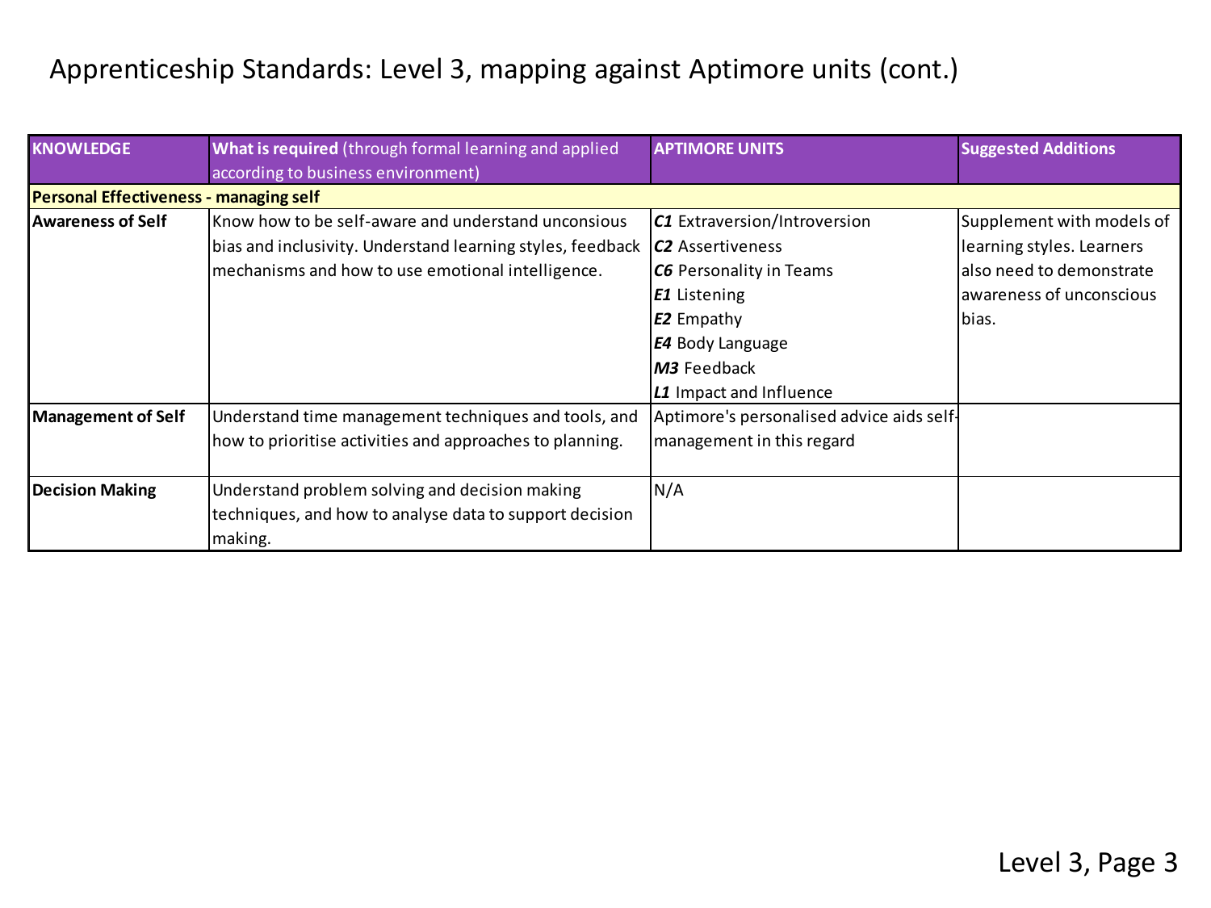| <b>KNOWLEDGE</b>                              | What is required (through formal learning and applied      | <b>APTIMORE UNITS</b>                     | <b>Suggested Additions</b> |
|-----------------------------------------------|------------------------------------------------------------|-------------------------------------------|----------------------------|
|                                               | according to business environment)                         |                                           |                            |
| <b>Personal Effectiveness - managing self</b> |                                                            |                                           |                            |
| <b>Awareness of Self</b>                      | Know how to be self-aware and understand unconsious        | C1 Extraversion/Introversion              | Supplement with models of  |
|                                               | bias and inclusivity. Understand learning styles, feedback | C <sub>2</sub> Assertiveness              | learning styles. Learners  |
|                                               | mechanisms and how to use emotional intelligence.          | <b>C6</b> Personality in Teams            | also need to demonstrate   |
|                                               |                                                            | <b>E1</b> Listening                       | awareness of unconscious   |
|                                               |                                                            | <b>E2</b> Empathy                         | lbias.                     |
|                                               |                                                            | <b>E4</b> Body Language                   |                            |
|                                               |                                                            | M3 Feedback                               |                            |
|                                               |                                                            | L1 Impact and Influence                   |                            |
| <b>Management of Self</b>                     | Understand time management techniques and tools, and       | Aptimore's personalised advice aids self- |                            |
|                                               | how to prioritise activities and approaches to planning.   | management in this regard                 |                            |
|                                               |                                                            |                                           |                            |
| <b>Decision Making</b>                        | Understand problem solving and decision making             | N/A                                       |                            |
|                                               | techniques, and how to analyse data to support decision    |                                           |                            |
|                                               | making.                                                    |                                           |                            |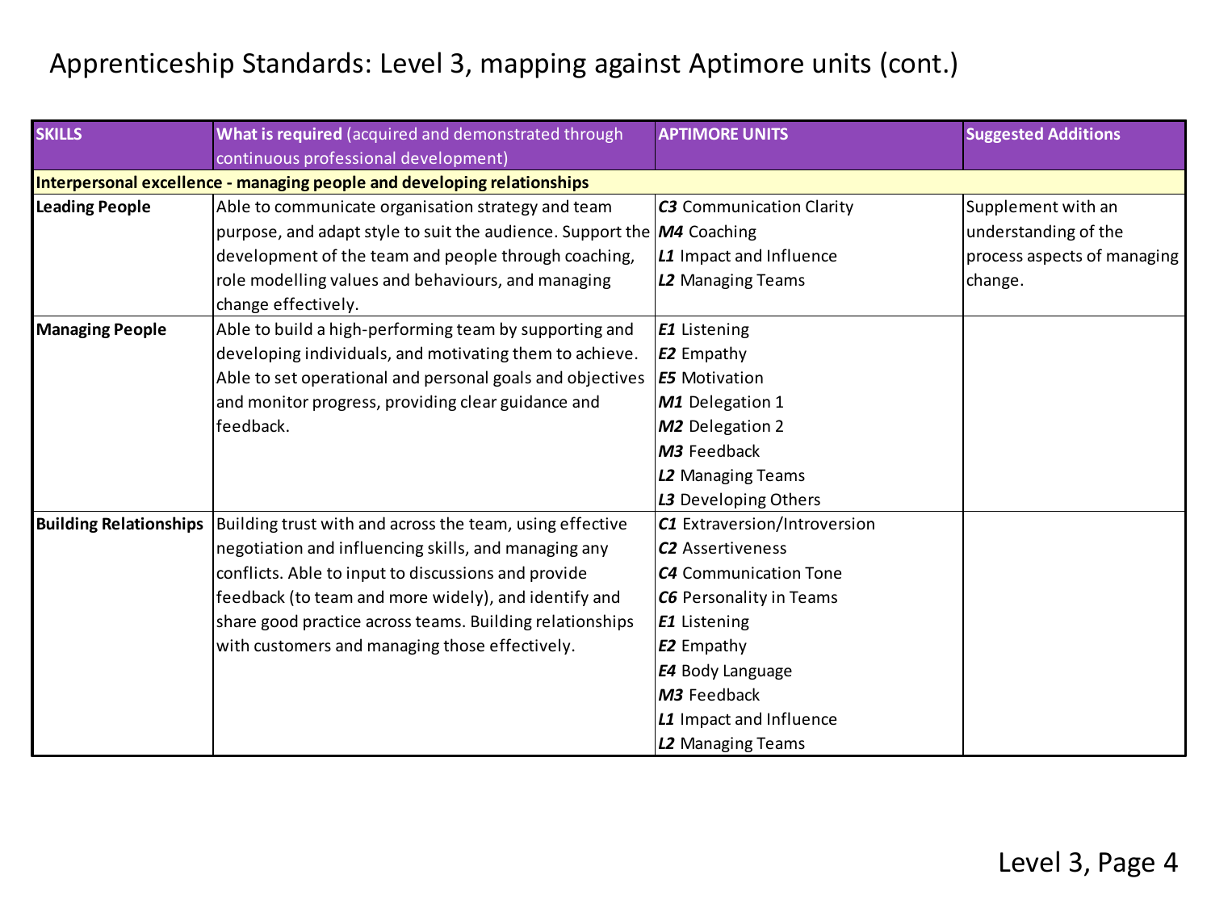| <b>SKILLS</b>                 | What is required (acquired and demonstrated through                                 | <b>APTIMORE UNITS</b>           | <b>Suggested Additions</b>  |
|-------------------------------|-------------------------------------------------------------------------------------|---------------------------------|-----------------------------|
|                               | continuous professional development)                                                |                                 |                             |
|                               | Interpersonal excellence - managing people and developing relationships             |                                 |                             |
| <b>Leading People</b>         | Able to communicate organisation strategy and team                                  | <b>C3</b> Communication Clarity | Supplement with an          |
|                               | purpose, and adapt style to suit the audience. Support the $\overline{M4}$ Coaching |                                 | understanding of the        |
|                               | development of the team and people through coaching,                                | L1 Impact and Influence         | process aspects of managing |
|                               | role modelling values and behaviours, and managing                                  | L2 Managing Teams               | change.                     |
|                               | change effectively.                                                                 |                                 |                             |
| <b>Managing People</b>        | Able to build a high-performing team by supporting and                              | <b>E1</b> Listening             |                             |
|                               | developing individuals, and motivating them to achieve.                             | <b>E2</b> Empathy               |                             |
|                               | Able to set operational and personal goals and objectives                           | <b>E5</b> Motivation            |                             |
|                               | and monitor progress, providing clear guidance and                                  | M1 Delegation 1                 |                             |
|                               | feedback.                                                                           | M2 Delegation 2                 |                             |
|                               |                                                                                     | M3 Feedback                     |                             |
|                               |                                                                                     | L2 Managing Teams               |                             |
|                               |                                                                                     | L3 Developing Others            |                             |
| <b>Building Relationships</b> | Building trust with and across the team, using effective                            | C1 Extraversion/Introversion    |                             |
|                               | negotiation and influencing skills, and managing any                                | <b>C2</b> Assertiveness         |                             |
|                               | conflicts. Able to input to discussions and provide                                 | <b>C4</b> Communication Tone    |                             |
|                               | feedback (to team and more widely), and identify and                                | <b>C6</b> Personality in Teams  |                             |
|                               | share good practice across teams. Building relationships                            | <b>E1</b> Listening             |                             |
|                               | with customers and managing those effectively.                                      | <b>E2</b> Empathy               |                             |
|                               |                                                                                     | <b>E4</b> Body Language         |                             |
|                               |                                                                                     | M3 Feedback                     |                             |
|                               |                                                                                     | L1 Impact and Influence         |                             |
|                               |                                                                                     | L2 Managing Teams               |                             |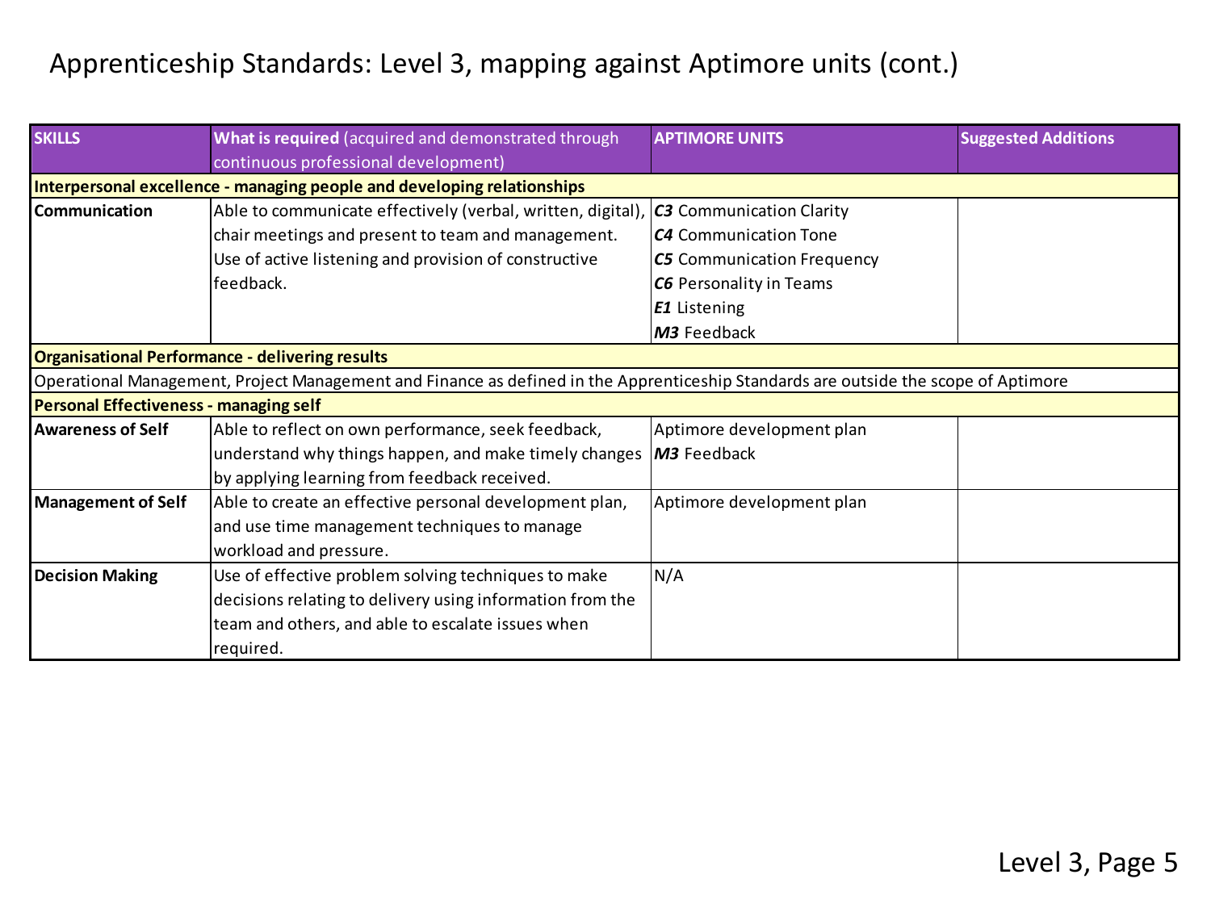| <b>SKILLS</b>                          | What is required (acquired and demonstrated through                                                                                 | <b>APTIMORE UNITS</b>             | <b>Suggested Additions</b> |
|----------------------------------------|-------------------------------------------------------------------------------------------------------------------------------------|-----------------------------------|----------------------------|
|                                        | continuous professional development)                                                                                                |                                   |                            |
|                                        | Interpersonal excellence - managing people and developing relationships                                                             |                                   |                            |
| Communication                          | Able to communicate effectively (verbal, written, digital), $ C3$ Communication Clarity                                             |                                   |                            |
|                                        | chair meetings and present to team and management.                                                                                  | <b>C4</b> Communication Tone      |                            |
|                                        | Use of active listening and provision of constructive                                                                               | <b>C5</b> Communication Frequency |                            |
|                                        | feedback.                                                                                                                           | <b>C6</b> Personality in Teams    |                            |
|                                        |                                                                                                                                     | <b>E1</b> Listening               |                            |
|                                        |                                                                                                                                     | M3 Feedback                       |                            |
|                                        | <b>Organisational Performance - delivering results</b>                                                                              |                                   |                            |
|                                        | Operational Management, Project Management and Finance as defined in the Apprenticeship Standards are outside the scope of Aptimore |                                   |                            |
| Personal Effectiveness - managing self |                                                                                                                                     |                                   |                            |
| Awareness of Self                      | Able to reflect on own performance, seek feedback,                                                                                  | Aptimore development plan         |                            |
|                                        | understand why things happen, and make timely changes                                                                               | M3 Feedback                       |                            |
|                                        | by applying learning from feedback received.                                                                                        |                                   |                            |
| Management of Self                     | Able to create an effective personal development plan,                                                                              | Aptimore development plan         |                            |
|                                        | and use time management techniques to manage                                                                                        |                                   |                            |
|                                        | workload and pressure.                                                                                                              |                                   |                            |
| <b>Decision Making</b>                 | Use of effective problem solving techniques to make                                                                                 | N/A                               |                            |
|                                        | decisions relating to delivery using information from the                                                                           |                                   |                            |
|                                        | team and others, and able to escalate issues when                                                                                   |                                   |                            |
|                                        | required.                                                                                                                           |                                   |                            |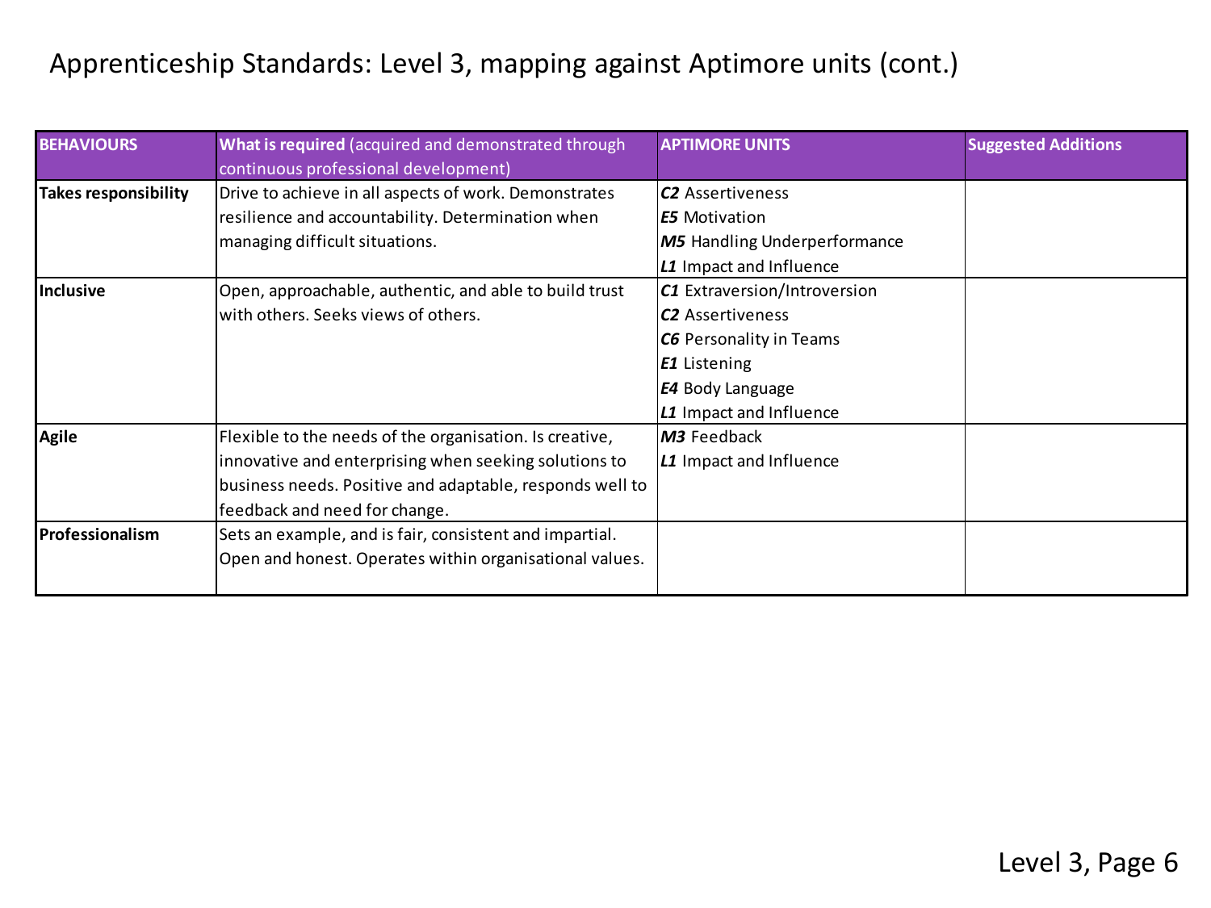| <b>BEHAVIOURS</b>    | What is required (acquired and demonstrated through<br>continuous professional development) | <b>APTIMORE UNITS</b>               | <b>Suggested Additions</b> |
|----------------------|---------------------------------------------------------------------------------------------|-------------------------------------|----------------------------|
| Takes responsibility | Drive to achieve in all aspects of work. Demonstrates                                       | C <sub>2</sub> Assertiveness        |                            |
|                      | resilience and accountability. Determination when                                           | E5 Motivation                       |                            |
|                      | managing difficult situations.                                                              | <b>M5</b> Handling Underperformance |                            |
|                      |                                                                                             | L1 Impact and Influence             |                            |
| Inclusive            | Open, approachable, authentic, and able to build trust                                      | C1 Extraversion/Introversion        |                            |
|                      | with others. Seeks views of others.                                                         | <b>C2</b> Assertiveness             |                            |
|                      |                                                                                             | C6 Personality in Teams             |                            |
|                      |                                                                                             | <b>E1</b> Listening                 |                            |
|                      |                                                                                             | <b>E4</b> Body Language             |                            |
|                      |                                                                                             | L1 Impact and Influence             |                            |
| Agile                | Flexible to the needs of the organisation. Is creative,                                     | M3 Feedback                         |                            |
|                      | innovative and enterprising when seeking solutions to                                       | L1 Impact and Influence             |                            |
|                      | business needs. Positive and adaptable, responds well to                                    |                                     |                            |
|                      | feedback and need for change.                                                               |                                     |                            |
| Professionalism      | Sets an example, and is fair, consistent and impartial.                                     |                                     |                            |
|                      | Open and honest. Operates within organisational values.                                     |                                     |                            |
|                      |                                                                                             |                                     |                            |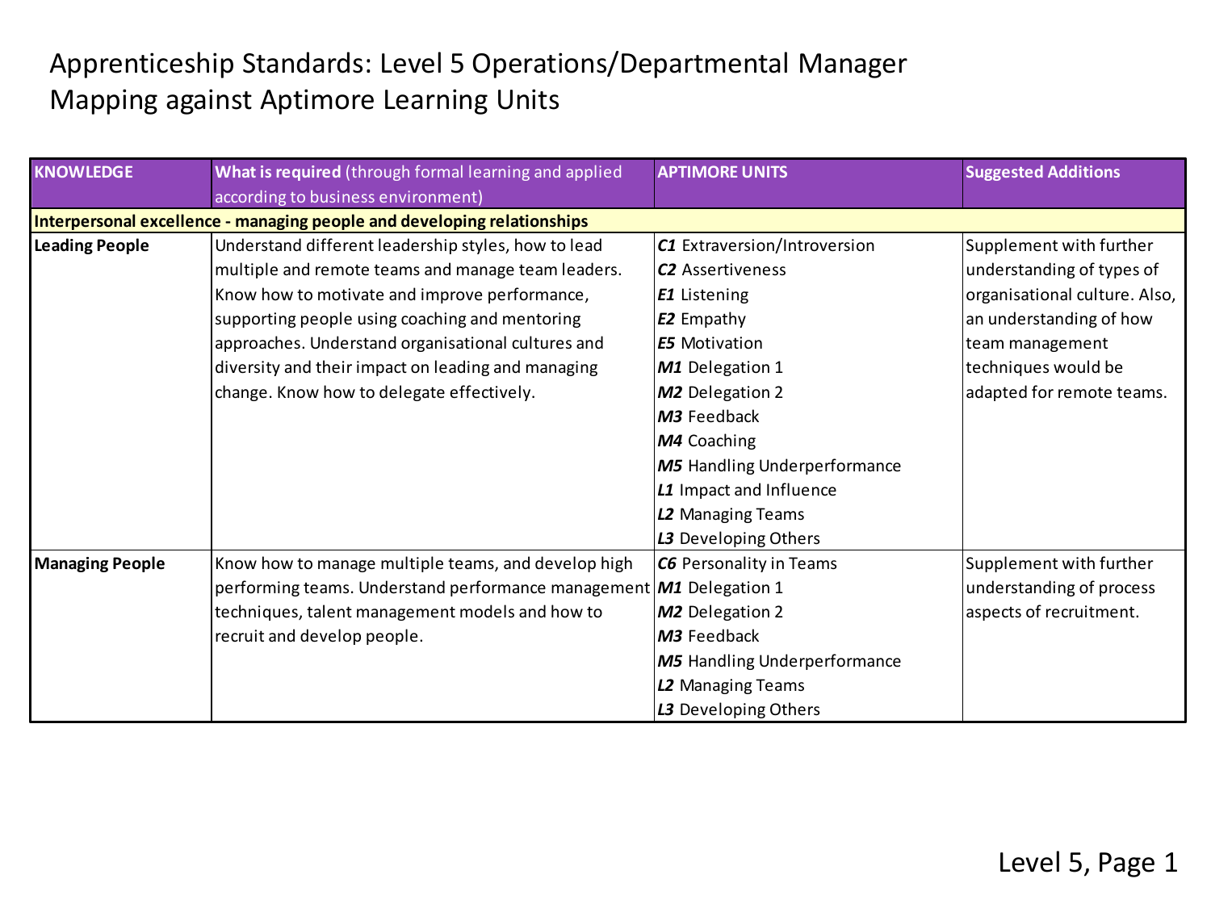## Apprenticeship Standards: Level 5 Operations/Departmental Manager Mapping against Aptimore Learning Units

| <b>KNOWLEDGE</b> | What is required (through formal learning and applied                            | <b>APTIMORE UNITS</b>               | <b>Suggested Additions</b>    |
|------------------|----------------------------------------------------------------------------------|-------------------------------------|-------------------------------|
|                  | according to business environment)                                               |                                     |                               |
|                  | Interpersonal excellence - managing people and developing relationships          |                                     |                               |
| Leading People   | Understand different leadership styles, how to lead                              | C1 Extraversion/Introversion        | Supplement with further       |
|                  | multiple and remote teams and manage team leaders.                               | <b>C2</b> Assertiveness             | understanding of types of     |
|                  | Know how to motivate and improve performance,                                    | <b>E1</b> Listening                 | organisational culture. Also, |
|                  | supporting people using coaching and mentoring                                   | E2 Empathy                          | an understanding of how       |
|                  | approaches. Understand organisational cultures and                               | <b>IE5</b> Motivation               | team management               |
|                  | diversity and their impact on leading and managing                               | M1 Delegation 1                     | techniques would be           |
|                  | change. Know how to delegate effectively.                                        | M2 Delegation 2                     | adapted for remote teams.     |
|                  |                                                                                  | M3 Feedback                         |                               |
|                  |                                                                                  | M4 Coaching                         |                               |
|                  |                                                                                  | <b>M5</b> Handling Underperformance |                               |
|                  |                                                                                  | L1 Impact and Influence             |                               |
|                  |                                                                                  | L2 Managing Teams                   |                               |
|                  |                                                                                  | L3 Developing Others                |                               |
| Managing People  | Know how to manage multiple teams, and develop high                              | <b>C6</b> Personality in Teams      | Supplement with further       |
|                  | performing teams. Understand performance management $\overline{M1}$ Delegation 1 |                                     | understanding of process      |
|                  | techniques, talent management models and how to                                  | M <sub>2</sub> Delegation 2         | aspects of recruitment.       |
|                  | recruit and develop people.                                                      | M3 Feedback                         |                               |
|                  |                                                                                  | <b>M5</b> Handling Underperformance |                               |
|                  |                                                                                  | L2 Managing Teams                   |                               |
|                  |                                                                                  | L3 Developing Others                |                               |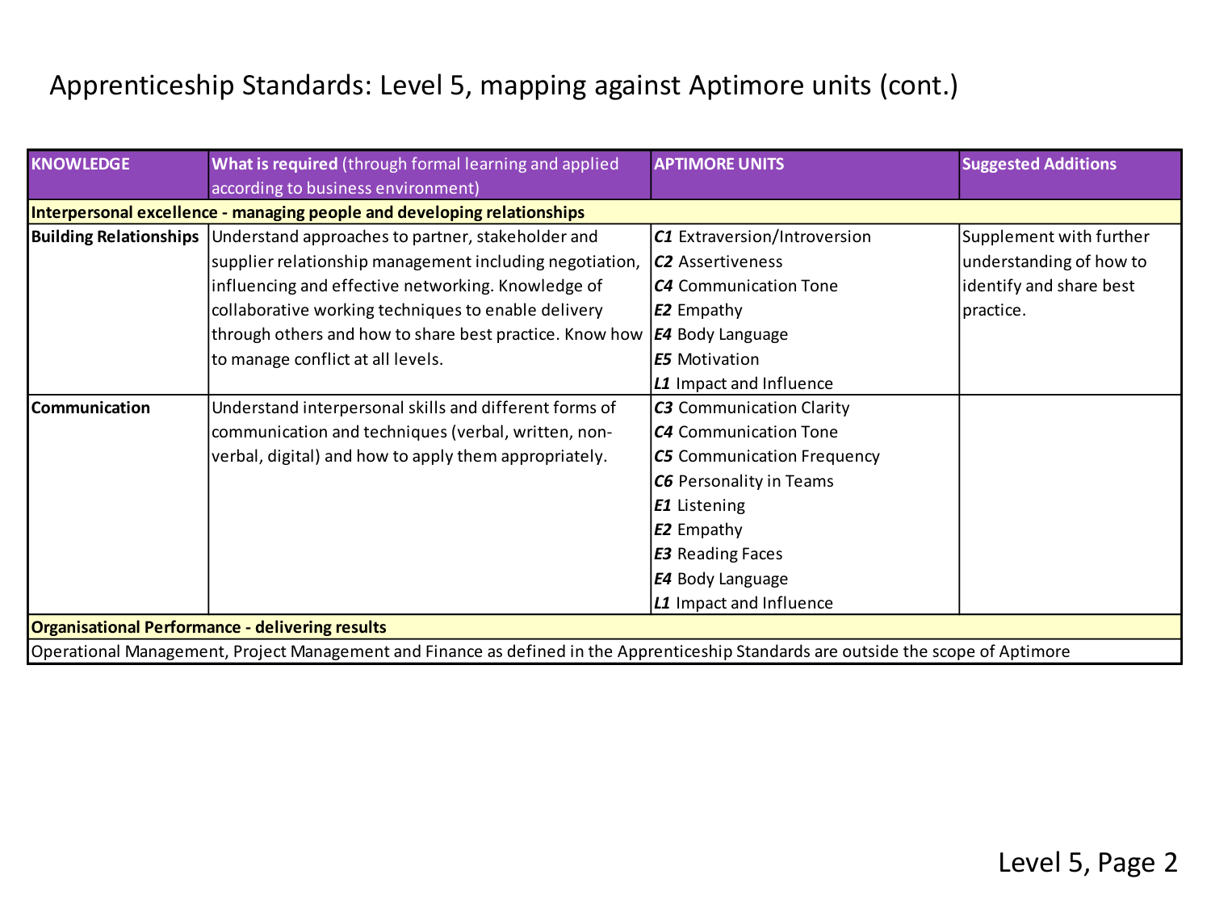| <b>KNOWLEDGE</b> | What is required (through formal learning and applied                                                                               | <b>APTIMORE UNITS</b>             | <b>Suggested Additions</b> |  |  |
|------------------|-------------------------------------------------------------------------------------------------------------------------------------|-----------------------------------|----------------------------|--|--|
|                  | according to business environment)                                                                                                  |                                   |                            |  |  |
|                  | Interpersonal excellence - managing people and developing relationships                                                             |                                   |                            |  |  |
|                  | Building Relationships Understand approaches to partner, stakeholder and                                                            | C1 Extraversion/Introversion      | Supplement with further    |  |  |
|                  | supplier relationship management including negotiation,                                                                             | <b>C2</b> Assertiveness           | understanding of how to    |  |  |
|                  | influencing and effective networking. Knowledge of                                                                                  | <b>C4</b> Communication Tone      | identify and share best    |  |  |
|                  | collaborative working techniques to enable delivery                                                                                 | <b>E2</b> Empathy                 | practice.                  |  |  |
|                  | through others and how to share best practice. Know how                                                                             | <b>E4</b> Body Language           |                            |  |  |
|                  | to manage conflict at all levels.                                                                                                   | <b>E5</b> Motivation              |                            |  |  |
|                  |                                                                                                                                     | L1 Impact and Influence           |                            |  |  |
| Communication    | Understand interpersonal skills and different forms of                                                                              | <b>C3</b> Communication Clarity   |                            |  |  |
|                  | communication and techniques (verbal, written, non-                                                                                 | <b>C4</b> Communication Tone      |                            |  |  |
|                  | verbal, digital) and how to apply them appropriately.                                                                               | <b>C5</b> Communication Frequency |                            |  |  |
|                  |                                                                                                                                     | <b>C6</b> Personality in Teams    |                            |  |  |
|                  |                                                                                                                                     | <b>E1</b> Listening               |                            |  |  |
|                  |                                                                                                                                     | <b>E2</b> Empathy                 |                            |  |  |
|                  |                                                                                                                                     | <b>E3</b> Reading Faces           |                            |  |  |
|                  |                                                                                                                                     | <b>E4</b> Body Language           |                            |  |  |
|                  |                                                                                                                                     | L1 Impact and Influence           |                            |  |  |
|                  | Organisational Performance - delivering results                                                                                     |                                   |                            |  |  |
|                  | Operational Management, Project Management and Finance as defined in the Apprenticeship Standards are outside the scope of Aptimore |                                   |                            |  |  |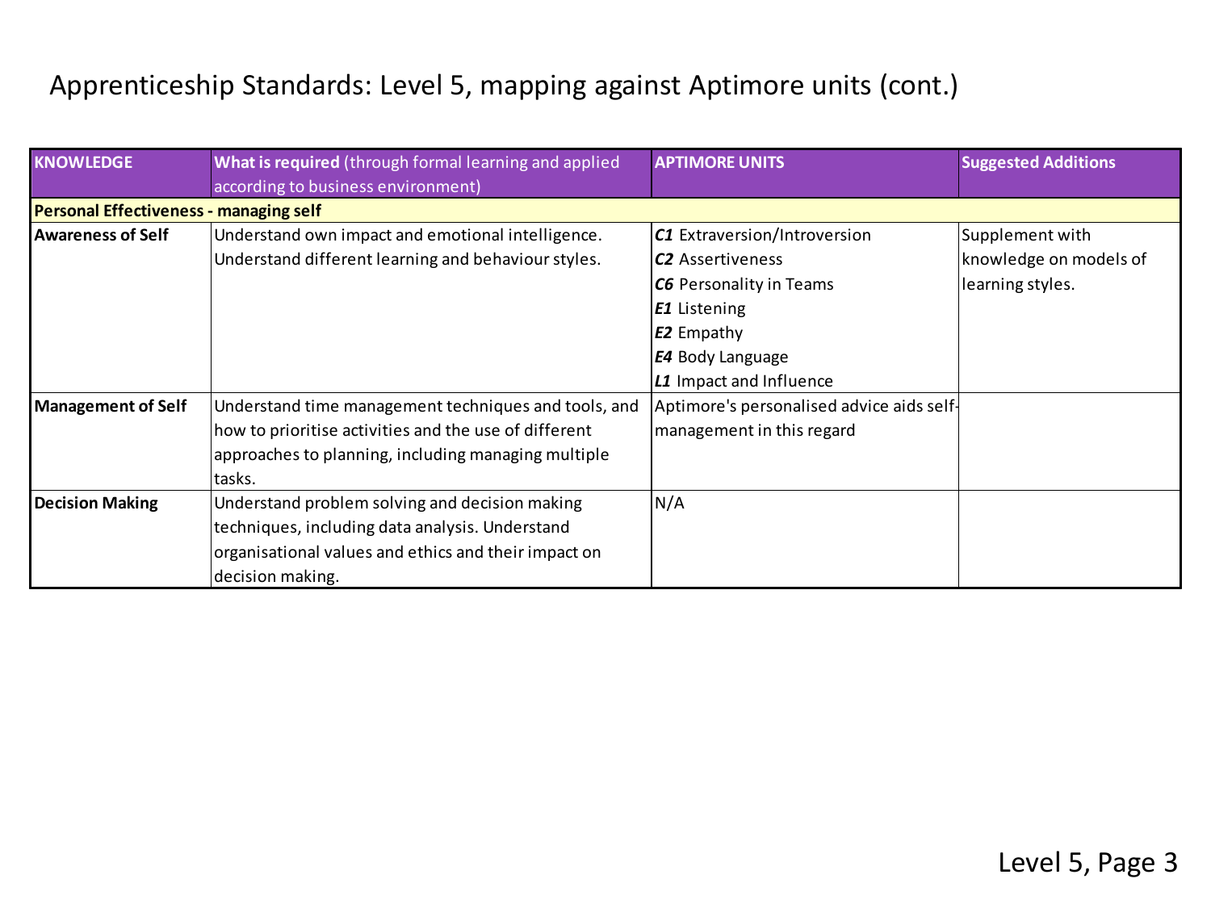| <b>KNOWLEDGE</b>                              | What is required (through formal learning and applied<br>according to business environment) | <b>APTIMORE UNITS</b>                     | <b>Suggested Additions</b> |
|-----------------------------------------------|---------------------------------------------------------------------------------------------|-------------------------------------------|----------------------------|
| <b>Personal Effectiveness - managing self</b> |                                                                                             |                                           |                            |
| <b>Awareness of Self</b>                      | Understand own impact and emotional intelligence.                                           | C1 Extraversion/Introversion              | Supplement with            |
|                                               | Understand different learning and behaviour styles.                                         | <b>C2</b> Assertiveness                   | knowledge on models of     |
|                                               |                                                                                             | <b>C6</b> Personality in Teams            | learning styles.           |
|                                               |                                                                                             | <b>E1</b> Listening                       |                            |
|                                               |                                                                                             | <b>E2</b> Empathy                         |                            |
|                                               |                                                                                             | <b>E4</b> Body Language                   |                            |
|                                               |                                                                                             | L1 Impact and Influence                   |                            |
| Management of Self                            | Understand time management techniques and tools, and                                        | Aptimore's personalised advice aids self- |                            |
|                                               | how to prioritise activities and the use of different                                       | management in this regard                 |                            |
|                                               | approaches to planning, including managing multiple                                         |                                           |                            |
|                                               | tasks.                                                                                      |                                           |                            |
| <b>Decision Making</b>                        | Understand problem solving and decision making                                              | N/A                                       |                            |
|                                               | techniques, including data analysis. Understand                                             |                                           |                            |
|                                               | organisational values and ethics and their impact on                                        |                                           |                            |
|                                               | decision making.                                                                            |                                           |                            |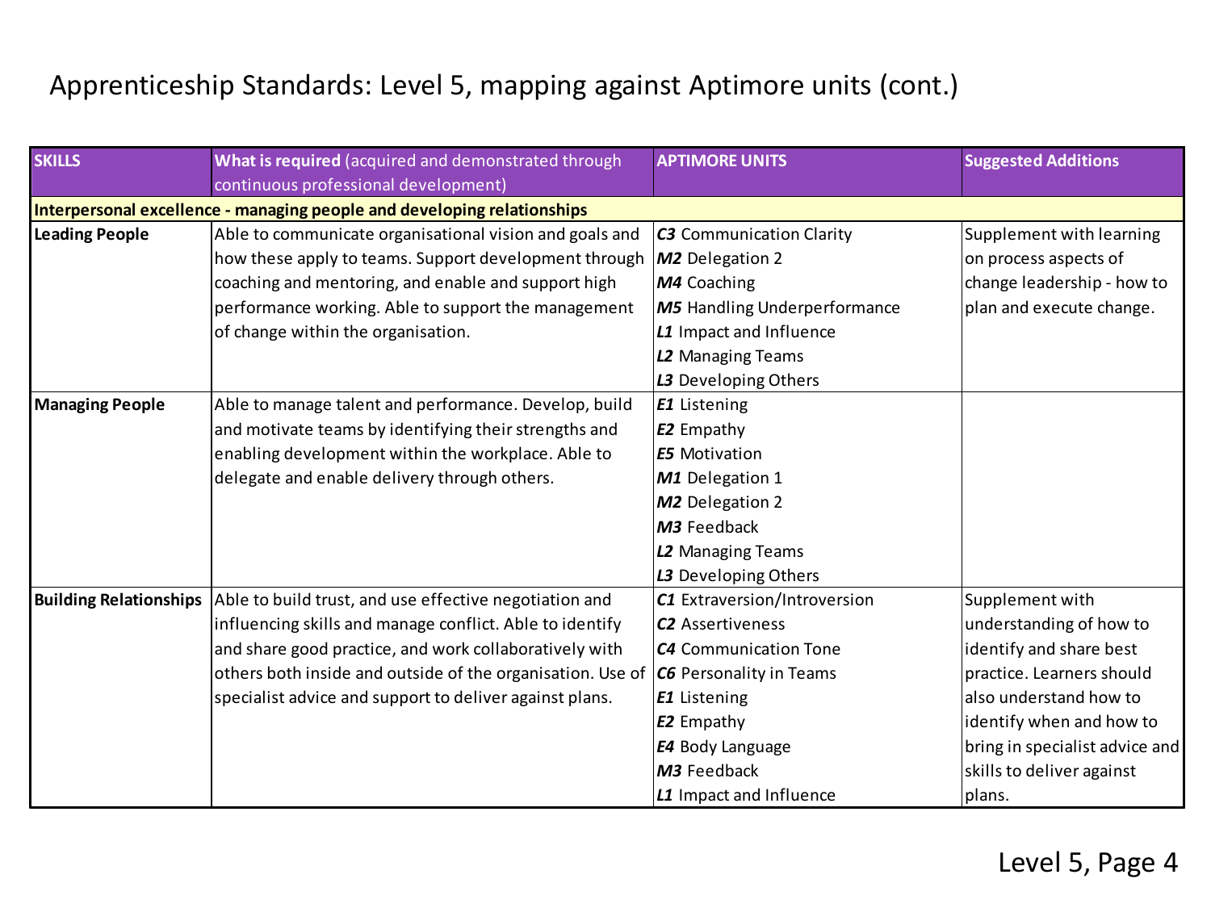| <b>SKILLS</b>                 | What is required (acquired and demonstrated through                     | <b>APTIMORE UNITS</b>               | <b>Suggested Additions</b>     |
|-------------------------------|-------------------------------------------------------------------------|-------------------------------------|--------------------------------|
|                               | continuous professional development)                                    |                                     |                                |
|                               | Interpersonal excellence - managing people and developing relationships |                                     |                                |
| Leading People                | Able to communicate organisational vision and goals and                 | <b>C3</b> Communication Clarity     | Supplement with learning       |
|                               | how these apply to teams. Support development through                   | M2 Delegation 2                     | on process aspects of          |
|                               | coaching and mentoring, and enable and support high                     | M4 Coaching                         | change leadership - how to     |
|                               | performance working. Able to support the management                     | <b>M5</b> Handling Underperformance | plan and execute change.       |
|                               | of change within the organisation.                                      | L1 Impact and Influence             |                                |
|                               |                                                                         | L2 Managing Teams                   |                                |
|                               |                                                                         | L3 Developing Others                |                                |
| <b>Managing People</b>        | Able to manage talent and performance. Develop, build                   | <b>E1</b> Listening                 |                                |
|                               | and motivate teams by identifying their strengths and                   | <b>E2</b> Empathy                   |                                |
|                               | enabling development within the workplace. Able to                      | <b>E5</b> Motivation                |                                |
|                               | delegate and enable delivery through others.                            | M1 Delegation 1                     |                                |
|                               |                                                                         | M2 Delegation 2                     |                                |
|                               |                                                                         | M3 Feedback                         |                                |
|                               |                                                                         | L2 Managing Teams                   |                                |
|                               |                                                                         | L3 Developing Others                |                                |
| <b>Building Relationships</b> | Able to build trust, and use effective negotiation and                  | C1 Extraversion/Introversion        | Supplement with                |
|                               | influencing skills and manage conflict. Able to identify                | <b>C2</b> Assertiveness             | understanding of how to        |
|                               | and share good practice, and work collaboratively with                  | C4 Communication Tone               | identify and share best        |
|                               | others both inside and outside of the organisation. Use of              | <b>C6</b> Personality in Teams      | practice. Learners should      |
|                               | specialist advice and support to deliver against plans.                 | <b>E1</b> Listening                 | also understand how to         |
|                               |                                                                         | <b>E2</b> Empathy                   | identify when and how to       |
|                               |                                                                         | E4 Body Language                    | bring in specialist advice and |
|                               |                                                                         | M3 Feedback                         | skills to deliver against      |
|                               |                                                                         | L1 Impact and Influence             | plans.                         |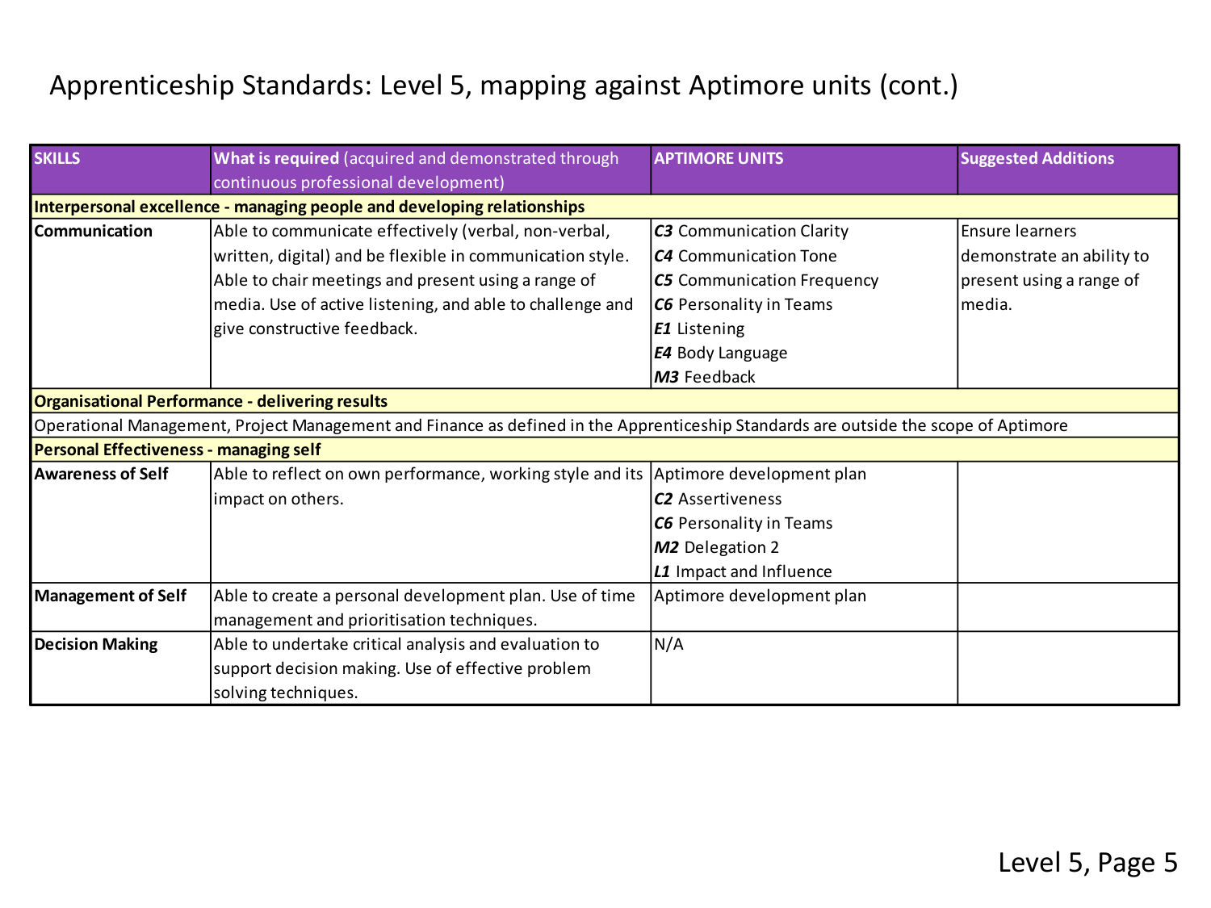| <b>SKILLS</b>                          | What is required (acquired and demonstrated through                                                                                 | <b>APTIMORE UNITS</b>             | <b>Suggested Additions</b> |
|----------------------------------------|-------------------------------------------------------------------------------------------------------------------------------------|-----------------------------------|----------------------------|
|                                        | continuous professional development)                                                                                                |                                   |                            |
|                                        | Interpersonal excellence - managing people and developing relationships                                                             |                                   |                            |
| l Communication                        | Able to communicate effectively (verbal, non-verbal,                                                                                | <b>C3</b> Communication Clarity   | Ensure learners            |
|                                        | written, digital) and be flexible in communication style.                                                                           | <b>C4</b> Communication Tone      | demonstrate an ability to  |
|                                        | Able to chair meetings and present using a range of                                                                                 | <b>C5</b> Communication Frequency | present using a range of   |
|                                        | media. Use of active listening, and able to challenge and                                                                           | <b>C6</b> Personality in Teams    | lmedia.                    |
|                                        | give constructive feedback.                                                                                                         | <b>E1</b> Listening               |                            |
|                                        |                                                                                                                                     | <b>E4</b> Body Language           |                            |
|                                        |                                                                                                                                     | M3 Feedback                       |                            |
|                                        | <b>Organisational Performance - delivering results</b>                                                                              |                                   |                            |
|                                        | Operational Management, Project Management and Finance as defined in the Apprenticeship Standards are outside the scope of Aptimore |                                   |                            |
| Personal Effectiveness - managing self |                                                                                                                                     |                                   |                            |
| Awareness of Self                      | Able to reflect on own performance, working style and its Aptimore development plan                                                 |                                   |                            |
|                                        | impact on others.                                                                                                                   | <b>C2</b> Assertiveness           |                            |
|                                        |                                                                                                                                     | <b>C6</b> Personality in Teams    |                            |
|                                        |                                                                                                                                     | M2 Delegation 2                   |                            |
|                                        |                                                                                                                                     | L1 Impact and Influence           |                            |
| Management of Self                     | Able to create a personal development plan. Use of time                                                                             | Aptimore development plan         |                            |
|                                        | management and prioritisation techniques.                                                                                           |                                   |                            |
| Decision Making                        | Able to undertake critical analysis and evaluation to                                                                               | N/A                               |                            |
|                                        | support decision making. Use of effective problem                                                                                   |                                   |                            |
|                                        | solving techniques.                                                                                                                 |                                   |                            |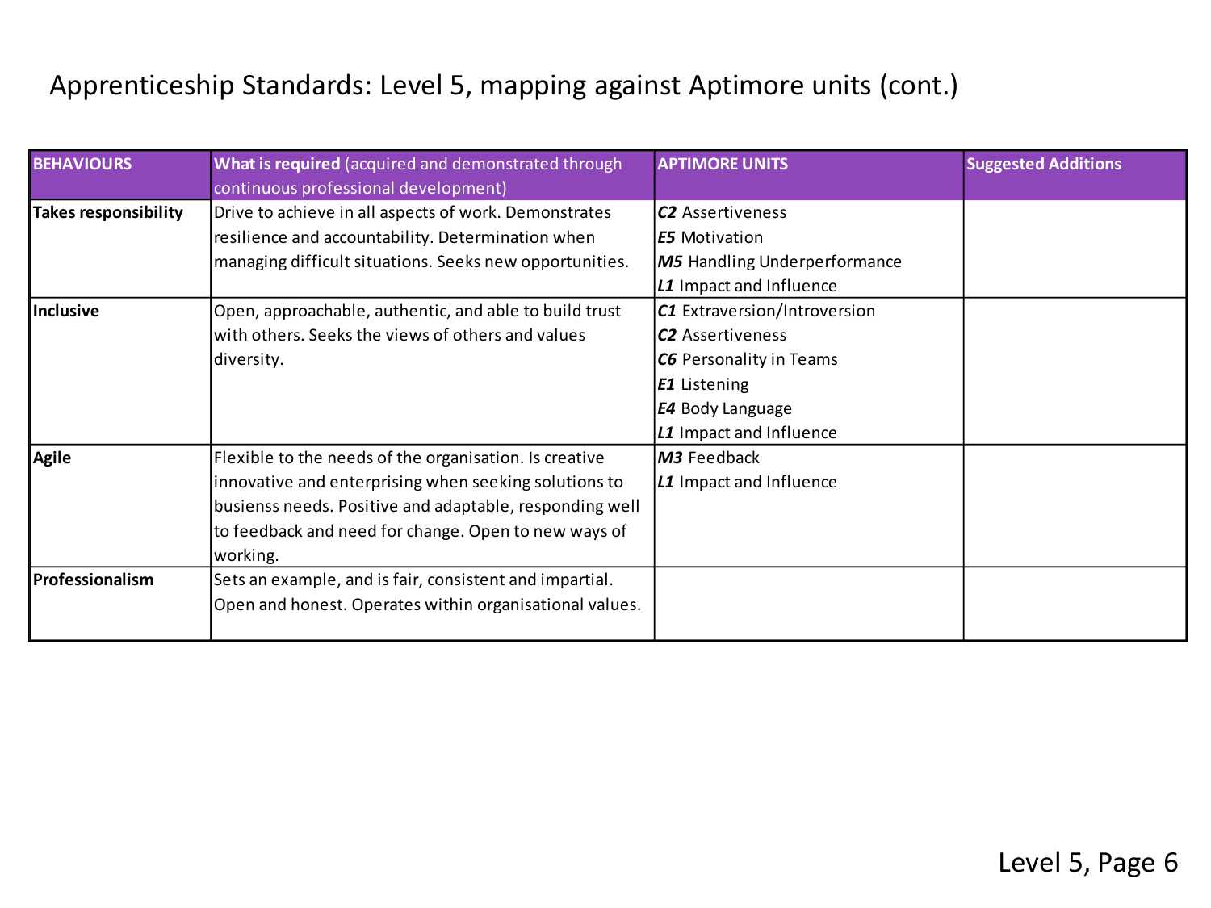| <b>BEHAVIOURS</b>       | What is required (acquired and demonstrated through<br>continuous professional development)                                                                                                                                                    | <b>APTIMORE UNITS</b>                                                                                                                                           | <b>Suggested Additions</b> |
|-------------------------|------------------------------------------------------------------------------------------------------------------------------------------------------------------------------------------------------------------------------------------------|-----------------------------------------------------------------------------------------------------------------------------------------------------------------|----------------------------|
| Takes responsibility    | Drive to achieve in all aspects of work. Demonstrates<br>resilience and accountability. Determination when<br>managing difficult situations. Seeks new opportunities.                                                                          | <b>C2</b> Assertiveness<br><b>E5</b> Motivation<br><b>M5</b> Handling Underperformance<br>L1 Impact and Influence                                               |                            |
| Inclusive               | Open, approachable, authentic, and able to build trust<br>with others. Seeks the views of others and values<br>diversity.                                                                                                                      | C1 Extraversion/Introversion<br><b>C2</b> Assertiveness<br><b>C6</b> Personality in Teams<br>E1 Listening<br><b>E4</b> Body Language<br>L1 Impact and Influence |                            |
| Agile                   | Flexible to the needs of the organisation. Is creative<br>innovative and enterprising when seeking solutions to<br>busienss needs. Positive and adaptable, responding well<br>to feedback and need for change. Open to new ways of<br>working. | M3 Feedback<br>L1 Impact and Influence                                                                                                                          |                            |
| <b>IProfessionalism</b> | Sets an example, and is fair, consistent and impartial.<br>Open and honest. Operates within organisational values.                                                                                                                             |                                                                                                                                                                 |                            |